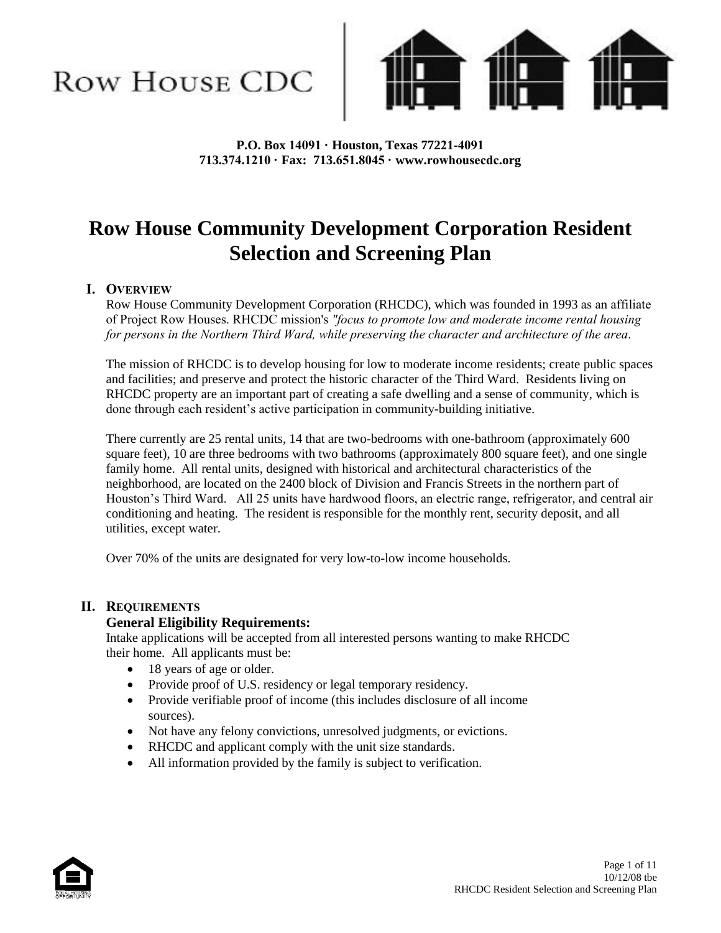# **Row House CDC**



**P.O. Box 14091 · Houston, Texas 77221-4091 713.374.1210 · Fax: 713.651.8045 · www.rowhousecdc.org**

# **Row House Community Development Corporation Resident Selection and Screening Plan**

# **I. OVERVIEW**

Row House Community Development Corporation (RHCDC), which was founded in 1993 as an affiliate of Project Row Houses. RHCDC mission's *"focus to promote low and moderate income rental housing for persons in the Northern Third Ward, while preserving the character and architecture of the area*.

The mission of RHCDC is to develop housing for low to moderate income residents; create public spaces and facilities; and preserve and protect the historic character of the Third Ward. Residents living on RHCDC property are an important part of creating a safe dwelling and a sense of community, which is done through each resident's active participation in community-building initiative.

There currently are 25 rental units, 14 that are two-bedrooms with one-bathroom (approximately 600 square feet), 10 are three bedrooms with two bathrooms (approximately 800 square feet), and one single family home. All rental units, designed with historical and architectural characteristics of the neighborhood, are located on the 2400 block of Division and Francis Streets in the northern part of Houston's Third Ward. All 25 units have hardwood floors, an electric range, refrigerator, and central air conditioning and heating. The resident is responsible for the monthly rent, security deposit, and all utilities, except water.

Over 70% of the units are designated for very low-to-low income households.

#### **II. REQUIREMENTS**

#### **General Eligibility Requirements:**

Intake applications will be accepted from all interested persons wanting to make RHCDC their home. All applicants must be:

- 18 years of age or older.
- Provide proof of U.S. residency or legal temporary residency.
- Provide verifiable proof of income (this includes disclosure of all income sources).
- Not have any felony convictions, unresolved judgments, or evictions.
- RHCDC and applicant comply with the unit size standards.
- All information provided by the family is subject to verification.

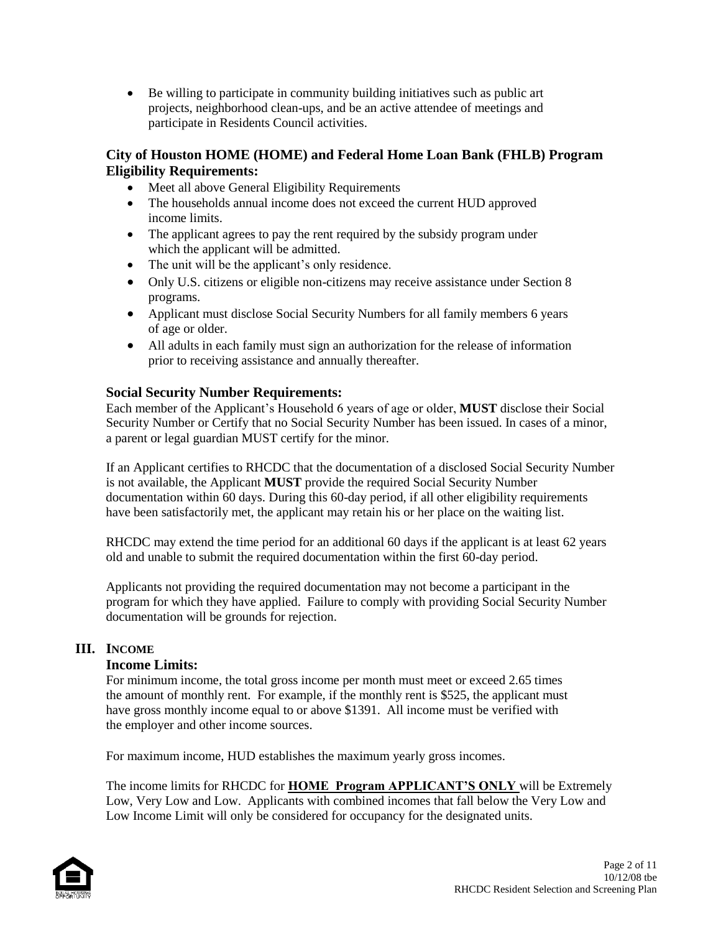Be willing to participate in community building initiatives such as public art projects, neighborhood clean-ups, and be an active attendee of meetings and participate in Residents Council activities.

### **City of Houston HOME (HOME) and Federal Home Loan Bank (FHLB) Program Eligibility Requirements:**

- Meet all above General Eligibility Requirements
- The households annual income does not exceed the current HUD approved income limits.
- The applicant agrees to pay the rent required by the subsidy program under which the applicant will be admitted.
- The unit will be the applicant's only residence.
- Only U.S. citizens or eligible non-citizens may receive assistance under Section 8 programs.
- Applicant must disclose Social Security Numbers for all family members 6 years of age or older.
- All adults in each family must sign an authorization for the release of information prior to receiving assistance and annually thereafter.

# **Social Security Number Requirements:**

Each member of the Applicant's Household 6 years of age or older, **MUST** disclose their Social Security Number or Certify that no Social Security Number has been issued. In cases of a minor, a parent or legal guardian MUST certify for the minor.

If an Applicant certifies to RHCDC that the documentation of a disclosed Social Security Number is not available, the Applicant **MUST** provide the required Social Security Number documentation within 60 days. During this 60-day period, if all other eligibility requirements have been satisfactorily met, the applicant may retain his or her place on the waiting list.

RHCDC may extend the time period for an additional 60 days if the applicant is at least 62 years old and unable to submit the required documentation within the first 60-day period.

Applicants not providing the required documentation may not become a participant in the program for which they have applied. Failure to comply with providing Social Security Number documentation will be grounds for rejection.

#### **III. INCOME**

#### **Income Limits:**

For minimum income, the total gross income per month must meet or exceed 2.65 times the amount of monthly rent. For example, if the monthly rent is \$525, the applicant must have gross monthly income equal to or above \$1391. All income must be verified with the employer and other income sources.

For maximum income, HUD establishes the maximum yearly gross incomes.

The income limits for RHCDC for **HOME Program APPLICANT'S ONLY** will be Extremely Low, Very Low and Low. Applicants with combined incomes that fall below the Very Low and Low Income Limit will only be considered for occupancy for the designated units.

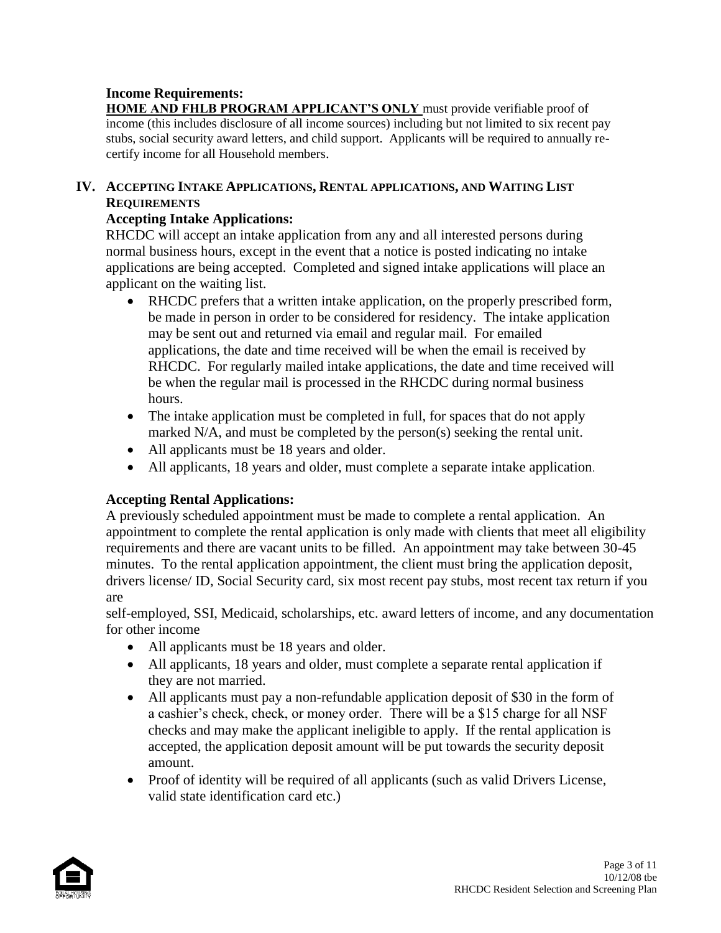# **Income Requirements:**

**HOME AND FHLB PROGRAM APPLICANT'S ONLY** must provide verifiable proof of income (this includes disclosure of all income sources) including but not limited to six recent pay stubs, social security award letters, and child support. Applicants will be required to annually recertify income for all Household members.

# **IV. ACCEPTING INTAKE APPLICATIONS, RENTAL APPLICATIONS, AND WAITING LIST REQUIREMENTS**

# **Accepting Intake Applications:**

RHCDC will accept an intake application from any and all interested persons during normal business hours, except in the event that a notice is posted indicating no intake applications are being accepted. Completed and signed intake applications will place an applicant on the waiting list.

- RHCDC prefers that a written intake application, on the properly prescribed form, be made in person in order to be considered for residency. The intake application may be sent out and returned via email and regular mail. For emailed applications, the date and time received will be when the email is received by RHCDC. For regularly mailed intake applications, the date and time received will be when the regular mail is processed in the RHCDC during normal business hours.
- The intake application must be completed in full, for spaces that do not apply marked N/A, and must be completed by the person(s) seeking the rental unit.
- All applicants must be 18 years and older.
- All applicants, 18 years and older, must complete a separate intake application.

# **Accepting Rental Applications:**

A previously scheduled appointment must be made to complete a rental application. An appointment to complete the rental application is only made with clients that meet all eligibility requirements and there are vacant units to be filled. An appointment may take between 30-45 minutes. To the rental application appointment, the client must bring the application deposit, drivers license/ ID, Social Security card, six most recent pay stubs, most recent tax return if you are

self-employed, SSI, Medicaid, scholarships, etc. award letters of income, and any documentation for other income

- All applicants must be 18 years and older.
- All applicants, 18 years and older, must complete a separate rental application if they are not married.
- All applicants must pay a non-refundable application deposit of \$30 in the form of a cashier's check, check, or money order. There will be a \$15 charge for all NSF checks and may make the applicant ineligible to apply. If the rental application is accepted, the application deposit amount will be put towards the security deposit amount.
- Proof of identity will be required of all applicants (such as valid Drivers License, valid state identification card etc.)

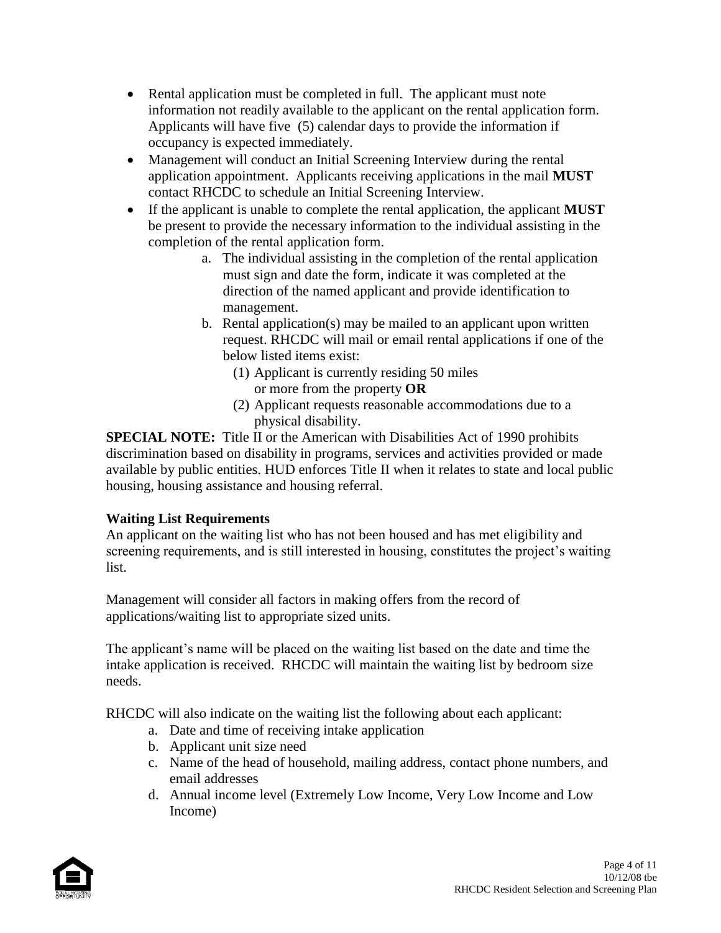- Rental application must be completed in full. The applicant must note information not readily available to the applicant on the rental application form. Applicants will have five (5) calendar days to provide the information if occupancy is expected immediately.
- Management will conduct an Initial Screening Interview during the rental application appointment. Applicants receiving applications in the mail **MUST** contact RHCDC to schedule an Initial Screening Interview.
- If the applicant is unable to complete the rental application, the applicant **MUST** be present to provide the necessary information to the individual assisting in the completion of the rental application form.
	- a. The individual assisting in the completion of the rental application must sign and date the form, indicate it was completed at the direction of the named applicant and provide identification to management.
	- b. Rental application(s) may be mailed to an applicant upon written request. RHCDC will mail or email rental applications if one of the below listed items exist:
		- (1) Applicant is currently residing 50 miles or more from the property **OR**
		- (2) Applicant requests reasonable accommodations due to a physical disability.

**SPECIAL NOTE:** Title II or the American with Disabilities Act of 1990 prohibits discrimination based on disability in programs, services and activities provided or made available by public entities. HUD enforces Title II when it relates to state and local public housing, housing assistance and housing referral.

# **Waiting List Requirements**

An applicant on the waiting list who has not been housed and has met eligibility and screening requirements, and is still interested in housing, constitutes the project's waiting list.

Management will consider all factors in making offers from the record of applications/waiting list to appropriate sized units.

The applicant's name will be placed on the waiting list based on the date and time the intake application is received. RHCDC will maintain the waiting list by bedroom size needs.

RHCDC will also indicate on the waiting list the following about each applicant:

- a. Date and time of receiving intake application
- b. Applicant unit size need
- c. Name of the head of household, mailing address, contact phone numbers, and email addresses
- d. Annual income level (Extremely Low Income, Very Low Income and Low Income)

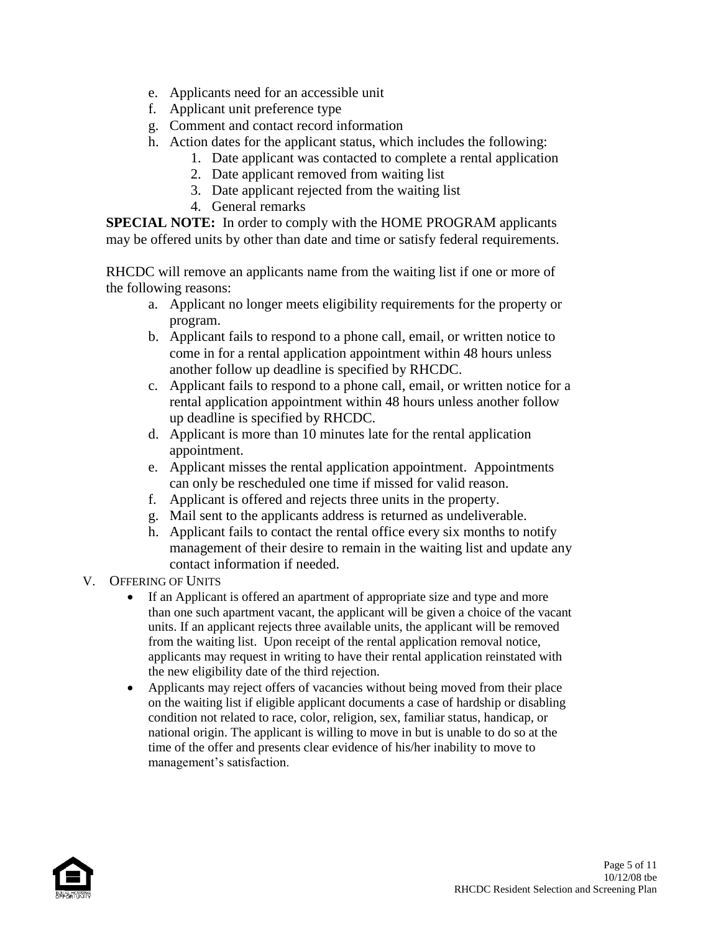- e. Applicants need for an accessible unit
- f. Applicant unit preference type
- g. Comment and contact record information
- h. Action dates for the applicant status, which includes the following:
	- 1. Date applicant was contacted to complete a rental application
	- 2. Date applicant removed from waiting list
	- 3. Date applicant rejected from the waiting list
	- 4. General remarks

**SPECIAL NOTE:** In order to comply with the HOME PROGRAM applicants may be offered units by other than date and time or satisfy federal requirements.

RHCDC will remove an applicants name from the waiting list if one or more of the following reasons:

- a. Applicant no longer meets eligibility requirements for the property or program.
- b. Applicant fails to respond to a phone call, email, or written notice to come in for a rental application appointment within 48 hours unless another follow up deadline is specified by RHCDC.
- c. Applicant fails to respond to a phone call, email, or written notice for a rental application appointment within 48 hours unless another follow up deadline is specified by RHCDC.
- d. Applicant is more than 10 minutes late for the rental application appointment.
- e. Applicant misses the rental application appointment. Appointments can only be rescheduled one time if missed for valid reason.
- f. Applicant is offered and rejects three units in the property.
- g. Mail sent to the applicants address is returned as undeliverable.
- h. Applicant fails to contact the rental office every six months to notify management of their desire to remain in the waiting list and update any contact information if needed.
- V. OFFERING OF UNITS
	- If an Applicant is offered an apartment of appropriate size and type and more than one such apartment vacant, the applicant will be given a choice of the vacant units. If an applicant rejects three available units, the applicant will be removed from the waiting list. Upon receipt of the rental application removal notice, applicants may request in writing to have their rental application reinstated with the new eligibility date of the third rejection.
	- Applicants may reject offers of vacancies without being moved from their place on the waiting list if eligible applicant documents a case of hardship or disabling condition not related to race, color, religion, sex, familiar status, handicap, or national origin. The applicant is willing to move in but is unable to do so at the time of the offer and presents clear evidence of his/her inability to move to management's satisfaction.

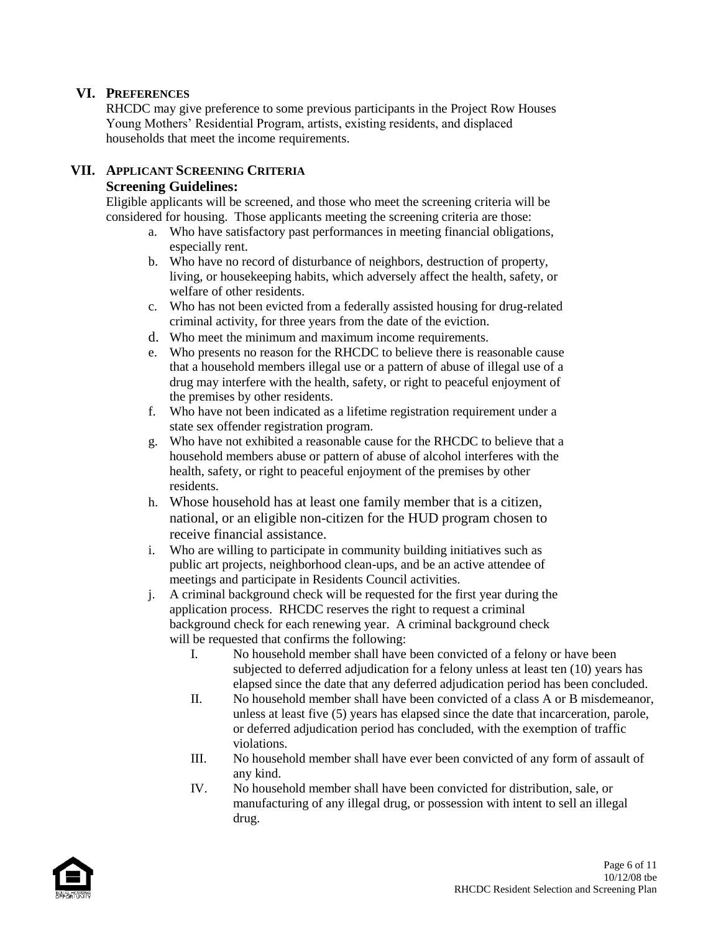### **VI. PREFERENCES**

RHCDC may give preference to some previous participants in the Project Row Houses Young Mothers' Residential Program, artists, existing residents, and displaced households that meet the income requirements.

# **VII. APPLICANT SCREENING CRITERIA**

#### **Screening Guidelines:**

Eligible applicants will be screened, and those who meet the screening criteria will be considered for housing. Those applicants meeting the screening criteria are those:

- a. Who have satisfactory past performances in meeting financial obligations, especially rent.
- b. Who have no record of disturbance of neighbors, destruction of property, living, or housekeeping habits, which adversely affect the health, safety, or welfare of other residents.
- c. Who has not been evicted from a federally assisted housing for drug-related criminal activity, for three years from the date of the eviction.
- d. Who meet the minimum and maximum income requirements.
- e. Who presents no reason for the RHCDC to believe there is reasonable cause that a household members illegal use or a pattern of abuse of illegal use of a drug may interfere with the health, safety, or right to peaceful enjoyment of the premises by other residents.
- f. Who have not been indicated as a lifetime registration requirement under a state sex offender registration program.
- g. Who have not exhibited a reasonable cause for the RHCDC to believe that a household members abuse or pattern of abuse of alcohol interferes with the health, safety, or right to peaceful enjoyment of the premises by other residents.
- h. Whose household has at least one family member that is a citizen, national, or an eligible non-citizen for the HUD program chosen to receive financial assistance.
- i. Who are willing to participate in community building initiatives such as public art projects, neighborhood clean-ups, and be an active attendee of meetings and participate in Residents Council activities.
- j. A criminal background check will be requested for the first year during the application process. RHCDC reserves the right to request a criminal background check for each renewing year. A criminal background check will be requested that confirms the following:
	- I. No household member shall have been convicted of a felony or have been subjected to deferred adjudication for a felony unless at least ten (10) years has elapsed since the date that any deferred adjudication period has been concluded.
	- II. No household member shall have been convicted of a class A or B misdemeanor, unless at least five (5) years has elapsed since the date that incarceration, parole, or deferred adjudication period has concluded, with the exemption of traffic violations.
	- III. No household member shall have ever been convicted of any form of assault of any kind.
	- IV. No household member shall have been convicted for distribution, sale, or manufacturing of any illegal drug, or possession with intent to sell an illegal drug.

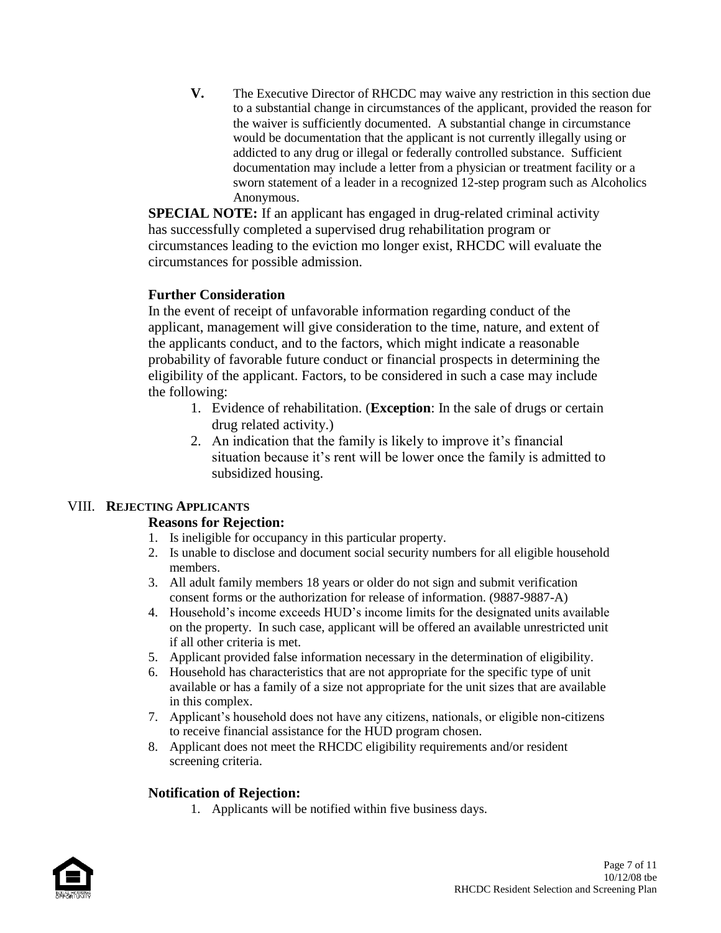**V.** The Executive Director of RHCDC may waive any restriction in this section due to a substantial change in circumstances of the applicant, provided the reason for the waiver is sufficiently documented. A substantial change in circumstance would be documentation that the applicant is not currently illegally using or addicted to any drug or illegal or federally controlled substance. Sufficient documentation may include a letter from a physician or treatment facility or a sworn statement of a leader in a recognized 12-step program such as Alcoholics Anonymous.

**SPECIAL NOTE:** If an applicant has engaged in drug-related criminal activity has successfully completed a supervised drug rehabilitation program or circumstances leading to the eviction mo longer exist, RHCDC will evaluate the circumstances for possible admission.

### **Further Consideration**

In the event of receipt of unfavorable information regarding conduct of the applicant, management will give consideration to the time, nature, and extent of the applicants conduct, and to the factors, which might indicate a reasonable probability of favorable future conduct or financial prospects in determining the eligibility of the applicant. Factors, to be considered in such a case may include the following:

- 1. Evidence of rehabilitation. (**Exception**: In the sale of drugs or certain drug related activity.)
- 2. An indication that the family is likely to improve it's financial situation because it's rent will be lower once the family is admitted to subsidized housing.

# VIII. **REJECTING APPLICANTS**

# **Reasons for Rejection:**

- 1. Is ineligible for occupancy in this particular property.
- 2. Is unable to disclose and document social security numbers for all eligible household members.
- 3. All adult family members 18 years or older do not sign and submit verification consent forms or the authorization for release of information. (9887-9887-A)
- 4. Household's income exceeds HUD's income limits for the designated units available on the property. In such case, applicant will be offered an available unrestricted unit if all other criteria is met.
- 5. Applicant provided false information necessary in the determination of eligibility.
- 6. Household has characteristics that are not appropriate for the specific type of unit available or has a family of a size not appropriate for the unit sizes that are available in this complex.
- 7. Applicant's household does not have any citizens, nationals, or eligible non-citizens to receive financial assistance for the HUD program chosen.
- 8. Applicant does not meet the RHCDC eligibility requirements and/or resident screening criteria.

# **Notification of Rejection:**

1. Applicants will be notified within five business days.

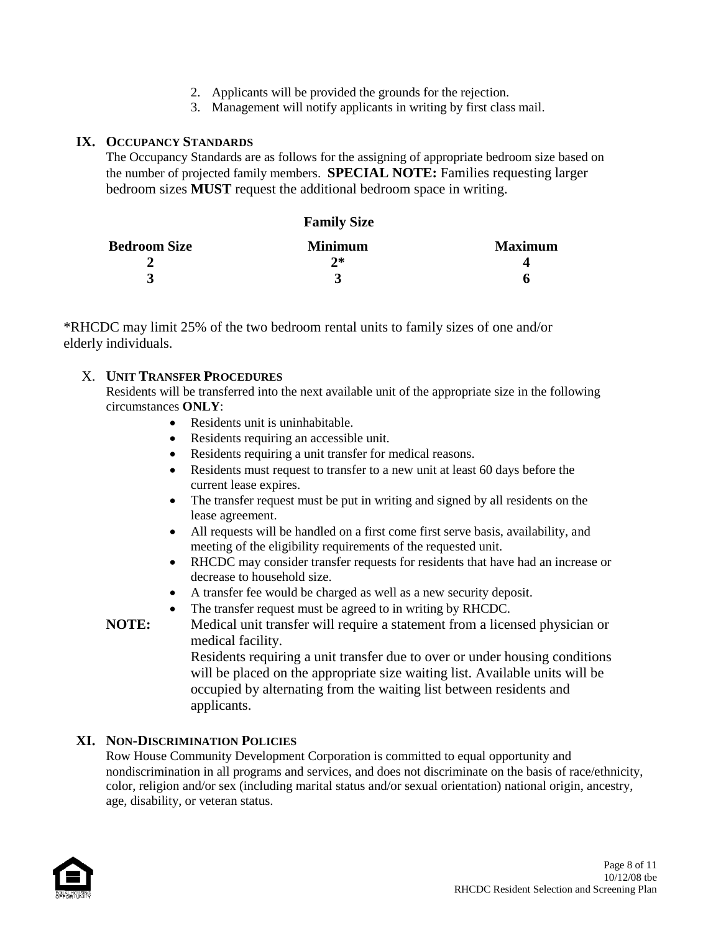- 2. Applicants will be provided the grounds for the rejection.
- 3. Management will notify applicants in writing by first class mail.

#### **IX. OCCUPANCY STANDARDS**

The Occupancy Standards are as follows for the assigning of appropriate bedroom size based on the number of projected family members. **SPECIAL NOTE:** Families requesting larger bedroom sizes **MUST** request the additional bedroom space in writing.

| <b>Family Size</b>  |                |                |
|---------------------|----------------|----------------|
| <b>Bedroom Size</b> | <b>Minimum</b> | <b>Maximum</b> |
|                     | $2*$           |                |
|                     | $\mathbf{z}$   | n              |

\*RHCDC may limit 25% of the two bedroom rental units to family sizes of one and/or elderly individuals.

#### X. **UNIT TRANSFER PROCEDURES**

Residents will be transferred into the next available unit of the appropriate size in the following circumstances **ONLY**:

- Residents unit is uninhabitable.
- Residents requiring an accessible unit.
- Residents requiring a unit transfer for medical reasons.
- Residents must request to transfer to a new unit at least 60 days before the current lease expires.
- The transfer request must be put in writing and signed by all residents on the lease agreement.
- All requests will be handled on a first come first serve basis, availability, and meeting of the eligibility requirements of the requested unit.
- RHCDC may consider transfer requests for residents that have had an increase or decrease to household size.
- A transfer fee would be charged as well as a new security deposit.
- The transfer request must be agreed to in writing by RHCDC.
- **NOTE:** Medical unit transfer will require a statement from a licensed physician or medical facility.

Residents requiring a unit transfer due to over or under housing conditions will be placed on the appropriate size waiting list. Available units will be occupied by alternating from the waiting list between residents and applicants.

#### **XI. NON-DISCRIMINATION POLICIES**

Row House Community Development Corporation is committed to equal opportunity and nondiscrimination in all programs and services, and does not discriminate on the basis of race/ethnicity, color, religion and/or sex (including marital status and/or sexual orientation) national origin, ancestry, age, disability, or veteran status.

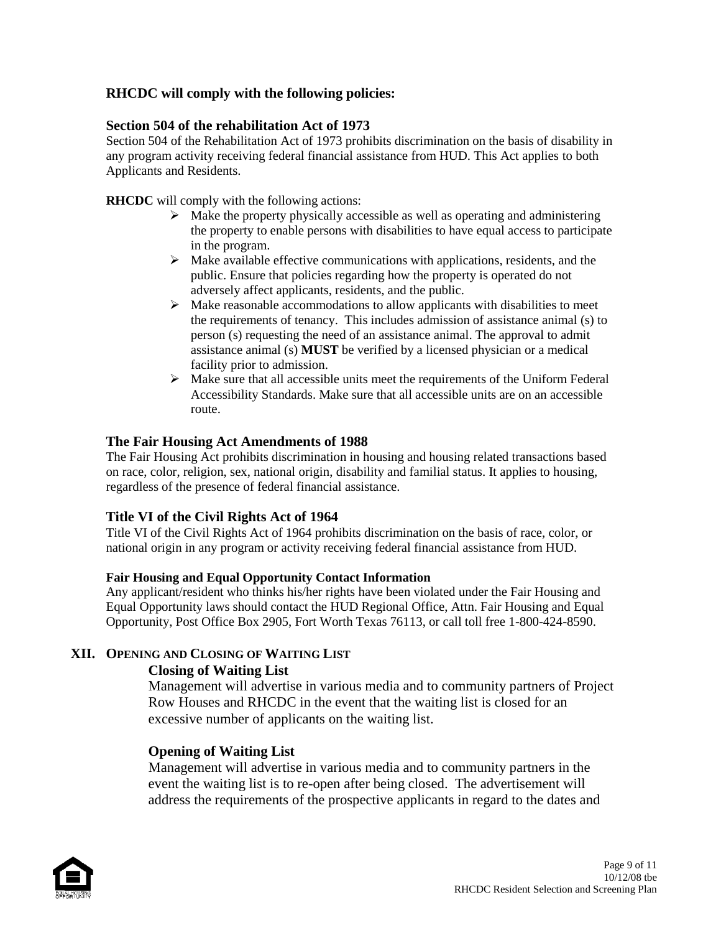# **RHCDC will comply with the following policies:**

#### **Section 504 of the rehabilitation Act of 1973**

Section 504 of the Rehabilitation Act of 1973 prohibits discrimination on the basis of disability in any program activity receiving federal financial assistance from HUD. This Act applies to both Applicants and Residents.

**RHCDC** will comply with the following actions:

- $\triangleright$  Make the property physically accessible as well as operating and administering the property to enable persons with disabilities to have equal access to participate in the program.
- $\triangleright$  Make available effective communications with applications, residents, and the public. Ensure that policies regarding how the property is operated do not adversely affect applicants, residents, and the public.
- $\triangleright$  Make reasonable accommodations to allow applicants with disabilities to meet the requirements of tenancy. This includes admission of assistance animal (s) to person (s) requesting the need of an assistance animal. The approval to admit assistance animal (s) **MUST** be verified by a licensed physician or a medical facility prior to admission.
- $\triangleright$  Make sure that all accessible units meet the requirements of the Uniform Federal Accessibility Standards. Make sure that all accessible units are on an accessible route.

### **The Fair Housing Act Amendments of 1988**

The Fair Housing Act prohibits discrimination in housing and housing related transactions based on race, color, religion, sex, national origin, disability and familial status. It applies to housing, regardless of the presence of federal financial assistance.

# **Title VI of the Civil Rights Act of 1964**

Title VI of the Civil Rights Act of 1964 prohibits discrimination on the basis of race, color, or national origin in any program or activity receiving federal financial assistance from HUD.

#### **Fair Housing and Equal Opportunity Contact Information**

Any applicant/resident who thinks his/her rights have been violated under the Fair Housing and Equal Opportunity laws should contact the HUD Regional Office, Attn. Fair Housing and Equal Opportunity, Post Office Box 2905, Fort Worth Texas 76113, or call toll free 1-800-424-8590.

# **XII. OPENING AND CLOSING OF WAITING LIST**

#### **Closing of Waiting List**

Management will advertise in various media and to community partners of Project Row Houses and RHCDC in the event that the waiting list is closed for an excessive number of applicants on the waiting list.

# **Opening of Waiting List**

Management will advertise in various media and to community partners in the event the waiting list is to re-open after being closed. The advertisement will address the requirements of the prospective applicants in regard to the dates and

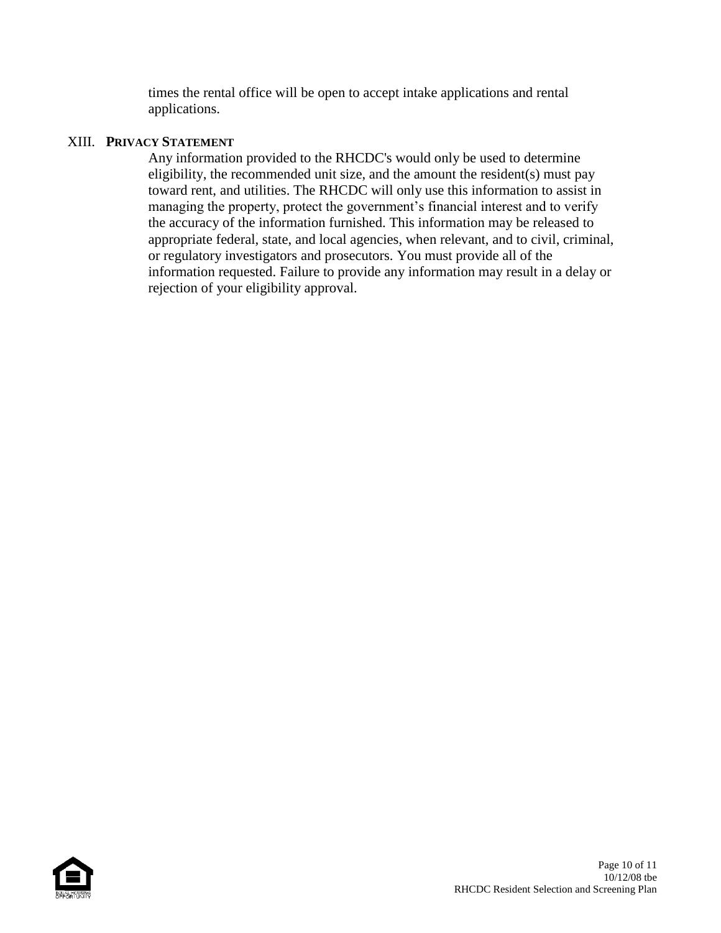times the rental office will be open to accept intake applications and rental applications.

#### XIII. **PRIVACY STATEMENT**

Any information provided to the RHCDC's would only be used to determine eligibility, the recommended unit size, and the amount the resident(s) must pay toward rent, and utilities. The RHCDC will only use this information to assist in managing the property, protect the government's financial interest and to verify the accuracy of the information furnished. This information may be released to appropriate federal, state, and local agencies, when relevant, and to civil, criminal, or regulatory investigators and prosecutors. You must provide all of the information requested. Failure to provide any information may result in a delay or rejection of your eligibility approval.